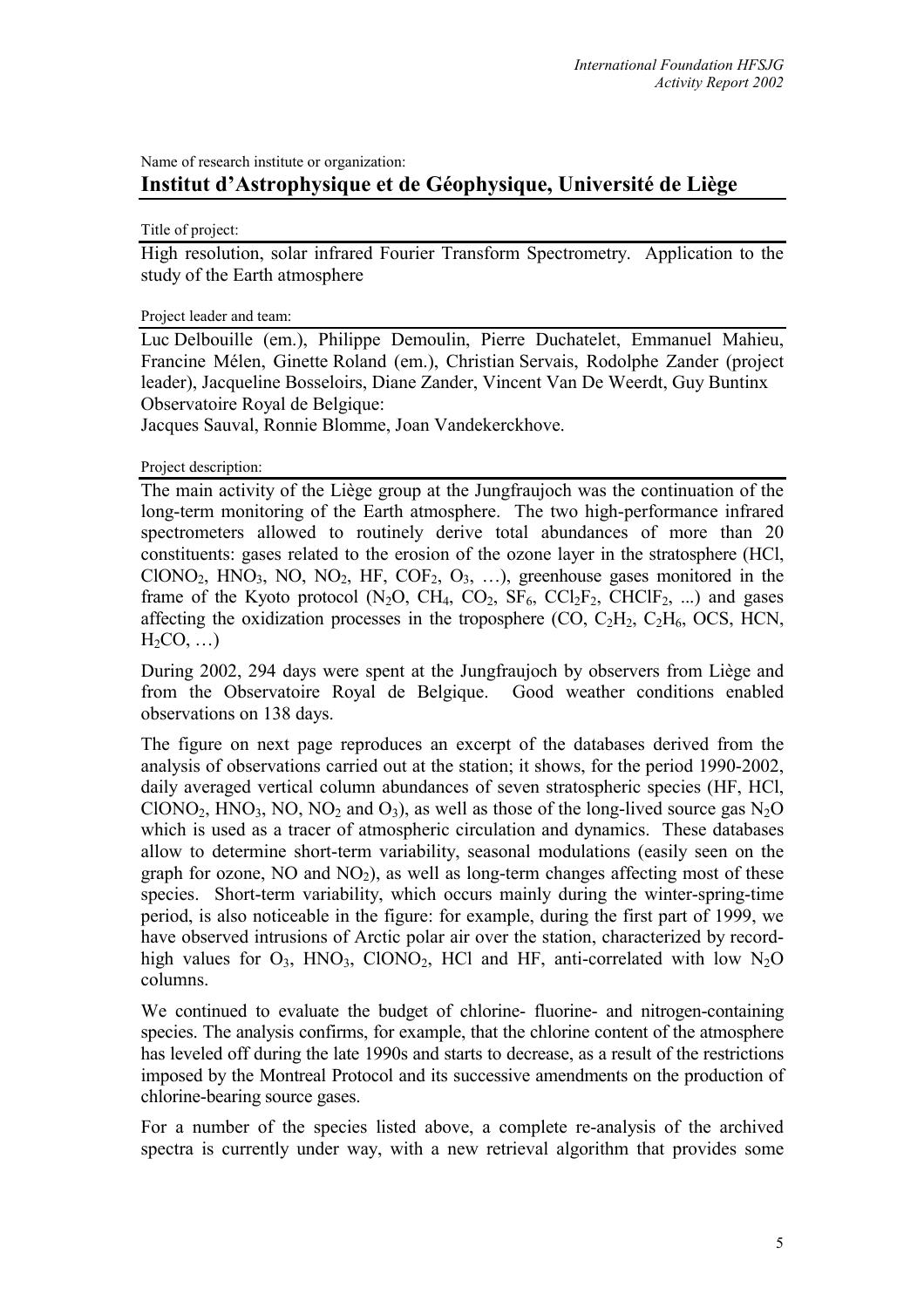Name of research institute or organization: **Institut d'Astrophysique et de Géophysique, Université de Liège** 

Title of project:

High resolution, solar infrared Fourier Transform Spectrometry. Application to the study of the Earth atmosphere

#### Project leader and team:

Luc Delbouille (em.), Philippe Demoulin, Pierre Duchatelet, Emmanuel Mahieu, Francine Mélen, Ginette Roland (em.), Christian Servais, Rodolphe Zander (project leader), Jacqueline Bosseloirs, Diane Zander, Vincent Van De Weerdt, Guy Buntinx Observatoire Royal de Belgique:

Jacques Sauval, Ronnie Blomme, Joan Vandekerckhove.

Project description:

The main activity of the Liège group at the Jungfraujoch was the continuation of the long-term monitoring of the Earth atmosphere. The two high-performance infrared spectrometers allowed to routinely derive total abundances of more than 20 constituents: gases related to the erosion of the ozone layer in the stratosphere (HCl, ClONO<sub>2</sub>, HNO<sub>3</sub>, NO, NO<sub>2</sub>, HF, COF<sub>2</sub>, O<sub>3</sub>, ...), greenhouse gases monitored in the frame of the Kyoto protocol  $(N_2O, CH_4, CO_2, SF_6, CCl_2F_2, CHClF_2, ...)$  and gases affecting the oxidization processes in the troposphere  $(CO, C<sub>2</sub>H<sub>2</sub>, C<sub>2</sub>H<sub>6</sub>, OCS, HCN,$  $H_2CO$ , ...

During 2002, 294 days were spent at the Jungfraujoch by observers from Liège and from the Observatoire Royal de Belgique. Good weather conditions enabled observations on 138 days.

The figure on next page reproduces an excerpt of the databases derived from the analysis of observations carried out at the station; it shows, for the period 1990-2002, daily averaged vertical column abundances of seven stratospheric species (HF, HCl, ClONO<sub>2</sub>, HNO<sub>3</sub>, NO, NO<sub>2</sub> and O<sub>3</sub>), as well as those of the long-lived source gas N<sub>2</sub>O which is used as a tracer of atmospheric circulation and dynamics. These databases allow to determine short-term variability, seasonal modulations (easily seen on the graph for ozone,  $NO$  and  $NO<sub>2</sub>$ ), as well as long-term changes affecting most of these species. Short-term variability, which occurs mainly during the winter-spring-time period, is also noticeable in the figure: for example, during the first part of 1999, we have observed intrusions of Arctic polar air over the station, characterized by recordhigh values for  $O_3$ , HNO<sub>3</sub>, ClONO<sub>2</sub>, HCl and HF, anti-correlated with low N<sub>2</sub>O columns.

We continued to evaluate the budget of chlorine- fluorine- and nitrogen-containing species. The analysis confirms, for example, that the chlorine content of the atmosphere has leveled off during the late 1990s and starts to decrease, as a result of the restrictions imposed by the Montreal Protocol and its successive amendments on the production of chlorine-bearing source gases.

For a number of the species listed above, a complete re-analysis of the archived spectra is currently under way, with a new retrieval algorithm that provides some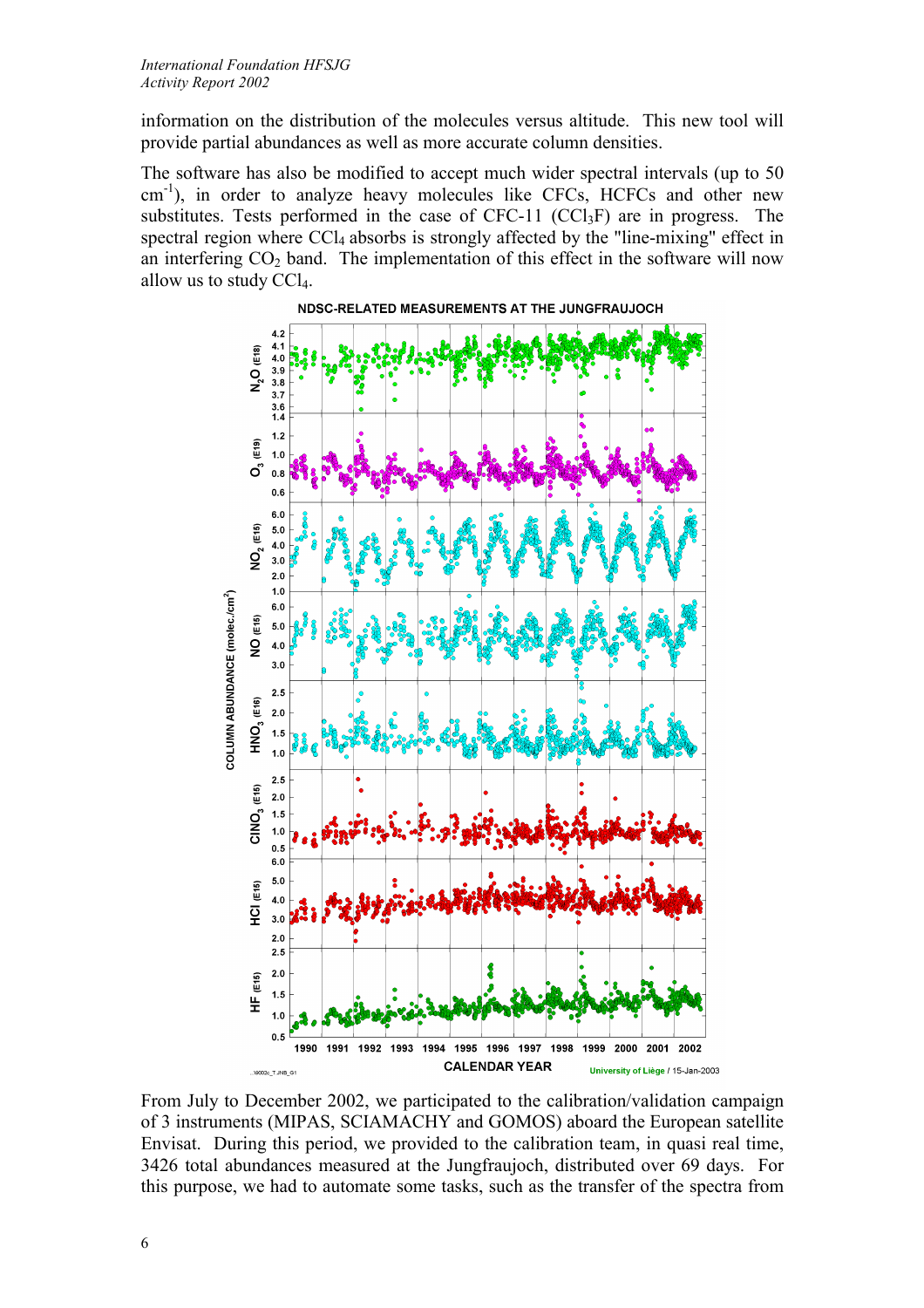information on the distribution of the molecules versus altitude. This new tool will provide partial abundances as well as more accurate column densities.

The software has also be modified to accept much wider spectral intervals (up to 50 cm<sup>-1</sup>), in order to analyze heavy molecules like CFCs, HCFCs and other new substitutes. Tests performed in the case of  $CFC-11$   $(CCl<sub>3</sub>F)$  are in progress. The spectral region where CCl<sub>4</sub> absorbs is strongly affected by the "line-mixing" effect in an interfering  $CO<sub>2</sub>$  band. The implementation of this effect in the software will now allow us to study CCl4.



From July to December 2002, we participated to the calibration/validation campaign of 3 instruments (MIPAS, SCIAMACHY and GOMOS) aboard the European satellite Envisat. During this period, we provided to the calibration team, in quasi real time, 3426 total abundances measured at the Jungfraujoch, distributed over 69 days. For this purpose, we had to automate some tasks, such as the transfer of the spectra from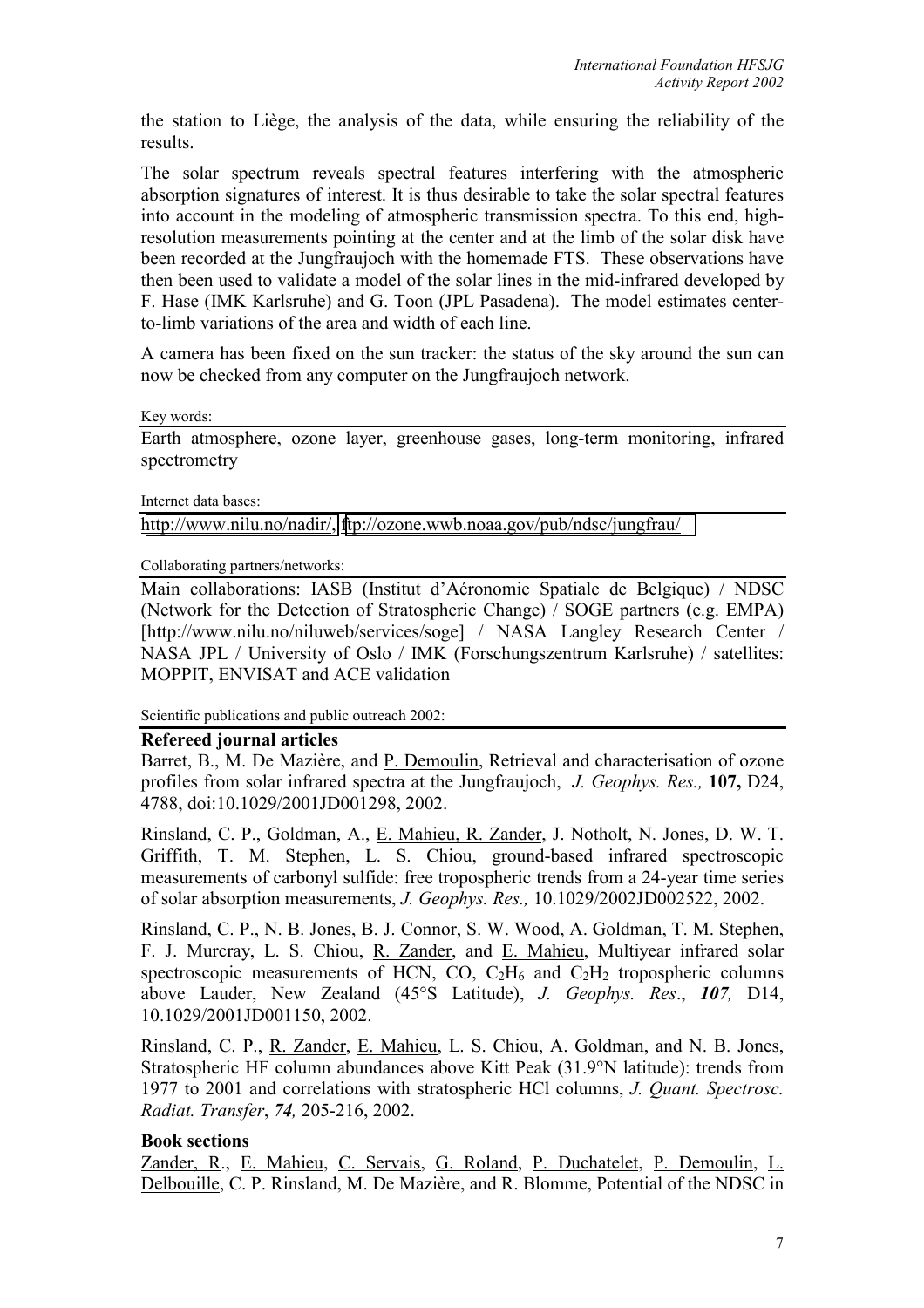the station to Liège, the analysis of the data, while ensuring the reliability of the results.

The solar spectrum reveals spectral features interfering with the atmospheric absorption signatures of interest. It is thus desirable to take the solar spectral features into account in the modeling of atmospheric transmission spectra. To this end, highresolution measurements pointing at the center and at the limb of the solar disk have been recorded at the Jungfraujoch with the homemade FTS. These observations have then been used to validate a model of the solar lines in the mid-infrared developed by F. Hase (IMK Karlsruhe) and G. Toon (JPL Pasadena). The model estimates centerto-limb variations of the area and width of each line.

A camera has been fixed on the sun tracker: the status of the sky around the sun can now be checked from any computer on the Jungfraujoch network.

Key words:

Earth atmosphere, ozone layer, greenhouse gases, long-term monitoring, infrared spectrometry

Internet data bases:

[http://www.nilu.no/nadir/,](http://www.nilu.no/nadir/) <ftp://ozone.wwb.noaa.gov/pub/ndsc/jungfrau/>

Collaborating partners/networks:

Main collaborations: IASB (Institut d'Aéronomie Spatiale de Belgique) / NDSC (Network for the Detection of Stratospheric Change) / SOGE partners (e.g. EMPA) [http://www.nilu.no/niluweb/services/soge] / NASA Langley Research Center / NASA JPL / University of Oslo / IMK (Forschungszentrum Karlsruhe) / satellites: MOPPIT, ENVISAT and ACE validation

Scientific publications and public outreach 2002:

#### **Refereed journal articles**

Barret, B., M. De Mazière, and P. Demoulin, Retrieval and characterisation of ozone profiles from solar infrared spectra at the Jungfraujoch, *J. Geophys. Res.,* **107,** D24, 4788, doi:10.1029/2001JD001298, 2002.

Rinsland, C. P., Goldman, A., E. Mahieu, R. Zander, J. Notholt, N. Jones, D. W. T. Griffith, T. M. Stephen, L. S. Chiou, ground-based infrared spectroscopic measurements of carbonyl sulfide: free tropospheric trends from a 24-year time series of solar absorption measurements, *J. Geophys. Res.,* 10.1029/2002JD002522, 2002.

Rinsland, C. P., N. B. Jones, B. J. Connor, S. W. Wood, A. Goldman, T. M. Stephen, F. J. Murcray, L. S. Chiou, R. Zander, and E. Mahieu, Multiyear infrared solar spectroscopic measurements of HCN, CO,  $C_2H_6$  and  $C_2H_2$  tropospheric columns above Lauder, New Zealand (45°S Latitude), *J. Geophys. Res*., *107,* D14, 10.1029/2001JD001150, 2002.

Rinsland, C. P., R. Zander, E. Mahieu, L. S. Chiou, A. Goldman, and N. B. Jones, Stratospheric HF column abundances above Kitt Peak (31.9°N latitude): trends from 1977 to 2001 and correlations with stratospheric HCl columns, *J. Quant. Spectrosc. Radiat. Transfer*, *74,* 205-216, 2002.

#### **Book sections**

Zander, R., E. Mahieu, C. Servais, G. Roland, P. Duchatelet, P. Demoulin, L. Delbouille, C. P. Rinsland, M. De Mazière, and R. Blomme, Potential of the NDSC in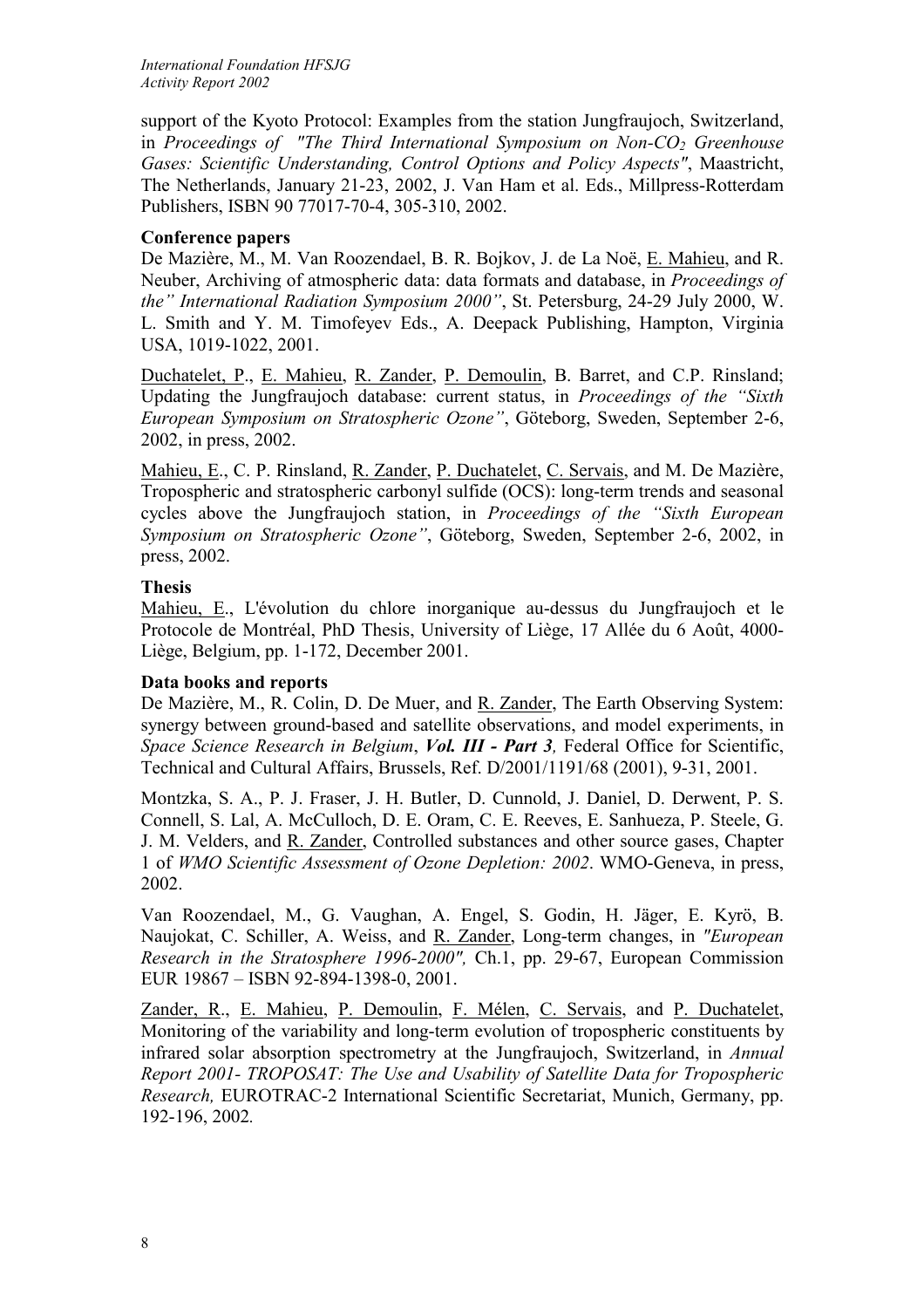support of the Kyoto Protocol: Examples from the station Jungfraujoch, Switzerland, in *Proceedings of "The Third International Symposium on Non-CO<sub>2</sub> Greenhouse Gases: Scientific Understanding, Control Options and Policy Aspects"*, Maastricht, The Netherlands, January 21-23, 2002, J. Van Ham et al. Eds., Millpress-Rotterdam Publishers, ISBN 90 77017-70-4, 305-310, 2002.

## **Conference papers**

De Mazière, M., M. Van Roozendael, B. R. Bojkov, J. de La Noë, E. Mahieu, and R. Neuber, Archiving of atmospheric data: data formats and database, in *Proceedings of the" International Radiation Symposium 2000"*, St. Petersburg, 24-29 July 2000, W. L. Smith and Y. M. Timofeyev Eds., A. Deepack Publishing, Hampton, Virginia USA, 1019-1022, 2001.

Duchatelet, P., E. Mahieu, R. Zander, P. Demoulin, B. Barret, and C.P. Rinsland; Updating the Jungfraujoch database: current status, in *Proceedings of the "Sixth European Symposium on Stratospheric Ozone"*, Göteborg, Sweden, September 2-6, 2002, in press, 2002.

Mahieu, E., C. P. Rinsland, R. Zander, P. Duchatelet, C. Servais, and M. De Mazière, Tropospheric and stratospheric carbonyl sulfide (OCS): long-term trends and seasonal cycles above the Jungfraujoch station, in *Proceedings of the "Sixth European Symposium on Stratospheric Ozone"*, Göteborg, Sweden, September 2-6, 2002, in press, 2002.

### **Thesis**

Mahieu, E., L'évolution du chlore inorganique au-dessus du Jungfraujoch et le Protocole de Montréal, PhD Thesis, University of Liège, 17 Allée du 6 Août, 4000- Liège, Belgium, pp. 1-172, December 2001.

# **Data books and reports**

De Mazière, M., R. Colin, D. De Muer, and R. Zander, The Earth Observing System: synergy between ground-based and satellite observations, and model experiments, in *Space Science Research in Belgium*, *Vol. III - Part 3,* Federal Office for Scientific, Technical and Cultural Affairs, Brussels, Ref. D/2001/1191/68 (2001), 9-31, 2001.

Montzka, S. A., P. J. Fraser, J. H. Butler, D. Cunnold, J. Daniel, D. Derwent, P. S. Connell, S. Lal, A. McCulloch, D. E. Oram, C. E. Reeves, E. Sanhueza, P. Steele, G. J. M. Velders, and R. Zander, Controlled substances and other source gases, Chapter 1 of *WMO Scientific Assessment of Ozone Depletion: 2002*. WMO-Geneva, in press, 2002.

Van Roozendael, M., G. Vaughan, A. Engel, S. Godin, H. Jäger, E. Kyrö, B. Naujokat, C. Schiller, A. Weiss, and R. Zander, Long-term changes, in *"European Research in the Stratosphere 1996-2000",* Ch.1, pp. 29-67, European Commission EUR 19867 – ISBN 92-894-1398-0, 2001.

Zander, R., E. Mahieu, P. Demoulin, F. Mélen, C. Servais, and P. Duchatelet, Monitoring of the variability and long-term evolution of tropospheric constituents by infrared solar absorption spectrometry at the Jungfraujoch, Switzerland, in *Annual Report 2001- TROPOSAT: The Use and Usability of Satellite Data for Tropospheric Research,* EUROTRAC-2 International Scientific Secretariat, Munich, Germany, pp. 192-196, 2002*.*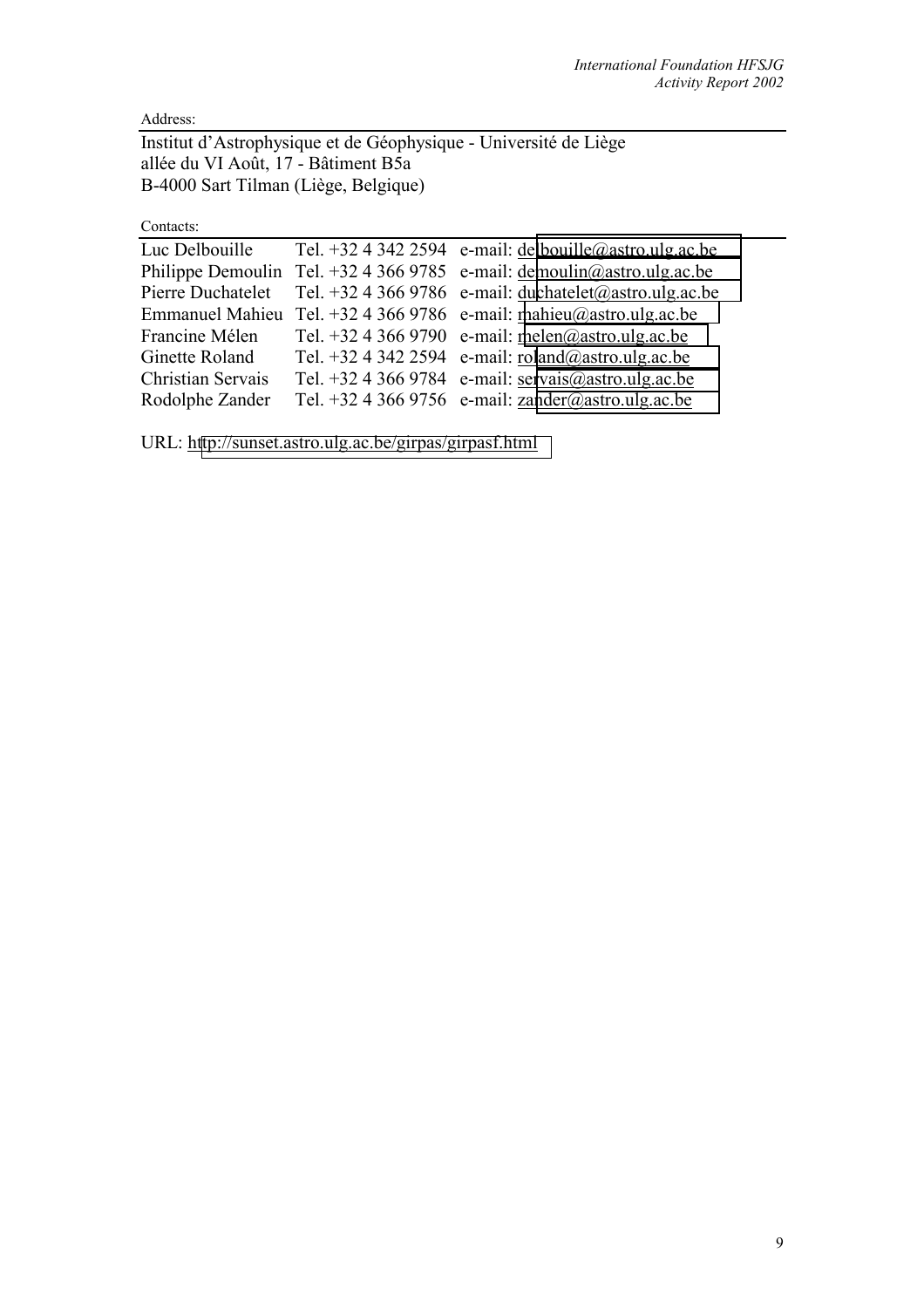Address:

Institut d'Astrophysique et de Géophysique - Université de Liège allée du VI Août, 17 - Bâtiment B5a B-4000 Sart Tilman (Liège, Belgique)

Contacts:

| Luc Delbouille         | Tel. +32 4 342 2594 e-mail: $\frac{delbouille@astro.ulg.ac.be}{delbouille@astro.ulg.ac.be}$                                                      |
|------------------------|--------------------------------------------------------------------------------------------------------------------------------------------------|
|                        | Philippe Demoulin Tel. +32 4 366 9785 e-mail: $d$ emoulin@astro.ulg.ac.be                                                                        |
| Pierre Duchatelet      | Tel. +32 4 366 9786 e-mail: duchatelet@astro.ulg.ac.be                                                                                           |
| <b>Emmanuel Mahieu</b> | Tel. +32 4 366 9786 e-mail: mahieu@astro.ulg.ac.be                                                                                               |
| Francine Mélen         | Tel. +32 4 366 9790 e-mail: melen@astro.ulg.ac.be                                                                                                |
| Ginette Roland         | Tel. +32 4 342 2594 e-mail: $\frac{\text{roland}(\partial \theta) \cdot \text{a} \cdot \text{b}}{\text{a} \cdot \text{b}}$                       |
| Christian Servais      | Tel. +32 4 366 9784 e-mail: $\frac{\text{servais}(\partial \theta) \cdot \text{astro.ulg.ac.be}}{(\partial \theta) \cdot \text{step.ulg.ac.be}}$ |
| Rodolphe Zander        | Tel. +32 4 366 9756 e-mail: $zander(\hat{a})$ astro.ulg.ac.be                                                                                    |
|                        |                                                                                                                                                  |

URL: h[ttp://sunset.astro.ulg.ac.be/girpas/girpasf.html](http://sunset.astro.ulg.ac.be/girpas/girpasf.html)